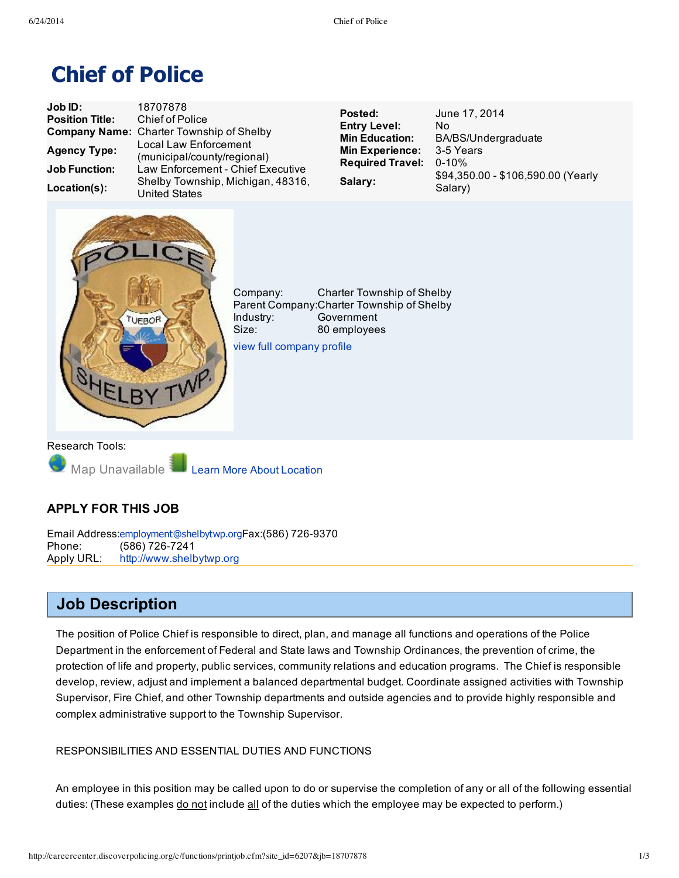# **Chief of Police**

| Job ID:                | 18707878                                             | Posted:                                      | June 17, 2014                                    |
|------------------------|------------------------------------------------------|----------------------------------------------|--------------------------------------------------|
| <b>Position Title:</b> | Chief of Police                                      |                                              | Nο                                               |
|                        | <b>Company Name: Charter Township of Shelby</b>      | <b>Entry Level:</b><br><b>Min Education:</b> | BA/BS/Undergraduate                              |
| <b>Agency Type:</b>    | Local Law Enforcement<br>(municipal/county/regional) | <b>Min Experience:</b>                       | 3-5 Years                                        |
| <b>Job Function:</b>   | Law Enforcement - Chief Executive                    | <b>Required Travel:</b>                      | $0 - 10\%$<br>\$94,350.00 - \$106,590.00 (Yearly |
| Location(s):           | Shelby Township, Michigan, 48316,<br>United States   | Salary:                                      | Salary)                                          |



Company: Charter Township of Shelby Parent Company:Charter Township of Shelby Industry: Government Size: 80 employees view full [company](http://careercenter.discoverpolicing.org/c/copro.cfm?site_id=6207&co=832691) profile

Research Tools:

Map Unavailable Learn More About [Location](http://en.wikipedia.org/wiki/Shelby%20Township%2C_Michigan)

## **APPLY FOR THIS JOB**

Email Address:[employment@shelbytwp.org](mailto:employment@shelbytwp.org)Fax:(586) 726-9370 Phone: (586) 726-7241 Apply URL: [http://www.shelbytwp.org](http://www.shelbytwp.org/)

## **Job Description**

The position of Police Chief is responsible to direct, plan, and manage all functions and operations of the Police Department in the enforcement of Federal and State laws and Township Ordinances, the prevention of crime, the protection of life and property, public services, community relations and education programs. The Chief is responsible develop, review, adjust and implement a balanced departmental budget. Coordinate assigned activities with Township Supervisor, Fire Chief, and other Township departments and outside agencies and to provide highly responsible and complex administrative support to the Township Supervisor.

### RESPONSIBILITIES AND ESSENTIAL DUTIES AND FUNCTIONS

An employee in this position may be called upon to do or supervise the completion of any or all of the following essential duties: (These examples do not include all of the duties which the employee may be expected to perform.)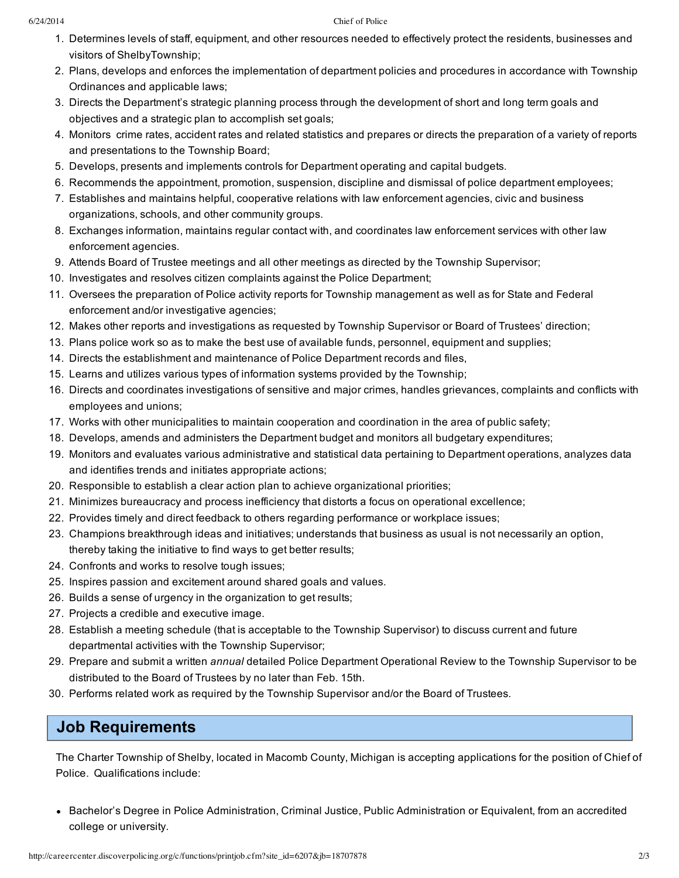#### 6/24/2014 Chief of Police

- 1. Determines levels of staff, equipment, and other resources needed to effectively protect the residents, businesses and visitors of ShelbyTownship;
- 2. Plans, develops and enforces the implementation of department policies and procedures in accordance with Township Ordinances and applicable laws;
- 3. Directs the Department's strategic planning process through the development of short and long term goals and objectives and a strategic plan to accomplish set goals;
- 4. Monitors crime rates, accident rates and related statistics and prepares or directs the preparation of a variety of reports and presentations to the Township Board;
- 5. Develops, presents and implements controls for Department operating and capital budgets.
- 6. Recommends the appointment, promotion, suspension, discipline and dismissal of police department employees;
- 7. Establishes and maintains helpful, cooperative relations with law enforcement agencies, civic and business organizations, schools, and other community groups.
- 8. Exchanges information, maintains regular contact with, and coordinates law enforcement services with other law enforcement agencies.
- 9. Attends Board of Trustee meetings and all other meetings as directed by the Township Supervisor;
- 10. Investigates and resolves citizen complaints against the Police Department;
- 11. Oversees the preparation of Police activity reports for Township management as well as for State and Federal enforcement and/or investigative agencies;
- 12. Makes other reports and investigations as requested by Township Supervisor or Board of Trustees' direction;
- 13. Plans police work so as to make the best use of available funds, personnel, equipment and supplies;
- 14. Directs the establishment and maintenance of Police Department records and files,
- 15. Learns and utilizes various types of information systems provided by the Township;
- 16. Directs and coordinates investigations of sensitive and major crimes, handles grievances, complaints and conflicts with employees and unions;
- 17. Works with other municipalities to maintain cooperation and coordination in the area of public safety;
- 18. Develops, amends and administers the Department budget and monitors all budgetary expenditures;
- 19. Monitors and evaluates various administrative and statistical data pertaining to Department operations, analyzes data and identifies trends and initiates appropriate actions;
- 20. Responsible to establish a clear action plan to achieve organizational priorities;
- 21. Minimizes bureaucracy and process inefficiency that distorts a focus on operational excellence;
- 22. Provides timely and direct feedback to others regarding performance or workplace issues;
- 23. Champions breakthrough ideas and initiatives; understands that business as usual is not necessarily an option, thereby taking the initiative to find ways to get better results;
- 24. Confronts and works to resolve tough issues;
- 25. Inspires passion and excitement around shared goals and values.
- 26. Builds a sense of urgency in the organization to get results;
- 27. Projects a credible and executive image.
- 28. Establish a meeting schedule (that is acceptable to the Township Supervisor) to discuss current and future departmental activities with the Township Supervisor;
- 29. Prepare and submit a written *annual* detailed Police Department Operational Review to the Township Supervisor to be distributed to the Board of Trustees by no later than Feb. 15th.
- 30. Performs related work as required by the Township Supervisor and/or the Board of Trustees.

# **Job Requirements**

The Charter Township of Shelby, located in Macomb County, Michigan is accepting applications for the position of Chief of Police. Qualifications include:

Bachelor's Degree in Police Administration, Criminal Justice, Public Administration or Equivalent, from an accredited college or university.